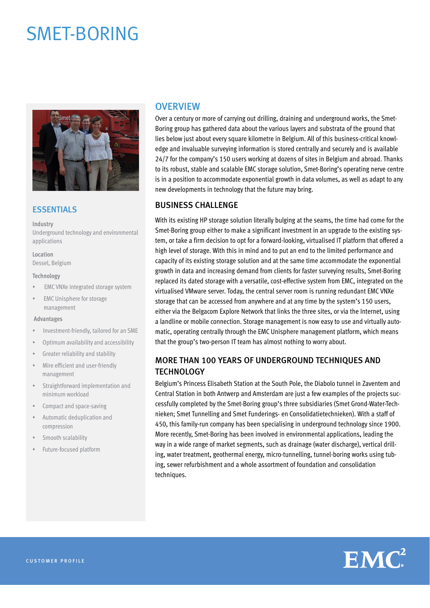# SMET-BORING



#### **ESSENTIALS**

**Industry** Underground technology and environmental applications

**Location** Dessel, Belgium

#### **Technology**

- EMC VNXe integrated storage system
- EMC Unisphere for storage management

#### **Advantages**

- Investment-friendly, tailored for an SME
- Optimum availability and accessibility
- Greater reliability and stability
- Mire efficient and user-friendly management
- Straightforward implementation and minimum workload
- Compact and space-saving
- Automatic deduplication and compression
- Smooth scalability
- Future-focused platform

## **OVERVIEW**

Over a century or more of carrying out drilling, draining and underground works, the Smet-Boring group has gathered data about the various layers and substrata of the ground that lies below just about every square kilometre in Belgium. All of this business-critical knowledge and invaluable surveying information is stored centrally and securely and is available 24/7 for the company's 150 users working at dozens of sites in Belgium and abroad. Thanks to its robust, stable and scalable EMC storage solution, Smet-Boring's operating nerve centre is in a position to accommodate exponential growth in data volumes, as well as adapt to any new developments in technology that the future may bring.

### BUSINESS CHALLENGE

With its existing HP storage solution literally bulging at the seams, the time had come for the Smet-Boring group either to make a significant investment in an upgrade to the existing system, or take a firm decision to opt for a forward-looking, virtualised IT platform that offered a high level of storage. With this in mind and to put an end to the limited performance and capacity of its existing storage solution and at the same time accommodate the exponential growth in data and increasing demand from clients for faster surveying results, Smet-Boring replaced its dated storage with a versatile, cost-effective system from EMC, integrated on the virtualised VMware server. Today, the central server room is running redundant EMC VNXe storage that can be accessed from anywhere and at any time by the system's 150 users, either via the Belgacom Explore Network that links the three sites, or via the Internet, using a landline or mobile connection. Storage management is now easy to use and virtually automatic, operating centrally through the EMC Unisphere management platform, which means that the group's two-person IT team has almost nothing to worry about.

## MORE THAN 100 YEARS OF UNDERGROUND TECHNIQUES AND TECHNOLOGY

Belgium's Princess Elisabeth Station at the South Pole, the Diabolo tunnel in Zaventem and Central Station in both Antwerp and Amsterdam are just a few examples of the projects successfully completed by the Smet-Boring group's three subsidiaries (Smet Grond-Water-Technieken; Smet Tunnelling and Smet Funderings- en Consolidatietechnieken). With a staff of 450, this family-run company has been specialising in underground technology since 1900. More recently, Smet-Boring has been involved in environmental applications, leading the way in a wide range of market segments, such as drainage (water discharge), vertical drilling, water treatment, geothermal energy, micro-tunnelling, tunnel-boring works using tubing, sewer refurbishment and a whole assortment of foundation and consolidation techniques.

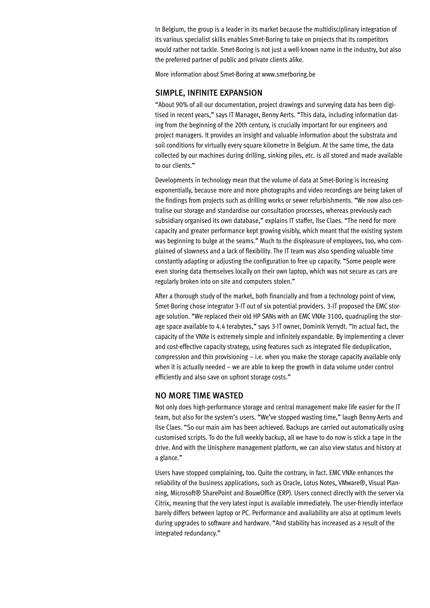In Belgium, the group is a leader in its market because the multidisciplinary integration of its various specialist skills enables Smet-Boring to take on projects that its competitors would rather not tackle. Smet-Boring is not just a well-known name in the industry, but also the preferred partner of public and private clients alike.

More information about Smet-Boring at www.smetboring.be

#### SIMPLE, INFINITE EXPANSION

"About 90% of all our documentation, project drawings and surveying data has been digitised in recent years," says IT Manager, Benny Aerts. "This data, including information dating from the beginning of the 20th century, is crucially important for our engineers and project managers. It provides an insight and valuable information about the substrata and soil conditions for virtually every square kilometre in Belgium. At the same time, the data collected by our machines during drilling, sinking piles, etc. is all stored and made available to our clients."

Developments in technology mean that the volume of data at Smet-Boring is increasing exponentially, because more and more photographs and video recordings are being taken of the findings from projects such as drilling works or sewer refurbishments. "We now also centralise our storage and standardise our consultation processes, whereas previously each subsidiary organised its own database," explains IT staffer, Ilse Claes. "The need for more capacity and greater performance kept growing visibly, which meant that the existing system was beginning to bulge at the seams." Much to the displeasure of employees, too, who complained of slowness and a lack of flexibility. The IT team was also spending valuable time constantly adapting or adjusting the configuration to free up capacity. "Some people were even storing data themselves locally on their own laptop, which was not secure as cars are regularly broken into on site and computers stolen."

After a thorough study of the market, both financially and from a technology point of view, Smet-Boring chose integrator 3-IT out of six potential providers. 3-IT proposed the EMC storage solution. "We replaced their old HP SANs with an EMC VNXe 3100, quadrupling the storage space available to 4.4 terabytes," says 3-IT owner, Dominik Verrydt. "In actual fact, the capacity of the VNXe is extremely simple and infinitely expandable. By implementing a clever and cost-effective capacity strategy, using features such as integrated file deduplication, compression and thin provisioning – i.e. when you make the storage capacity available only when it is actually needed – we are able to keep the growth in data volume under control efficiently and also save on upfront storage costs."

#### NO MORE TIME WASTED

Not only does high-performance storage and central management make life easier for the IT team, but also for the system's users. "We've stopped wasting time," laugh Benny Aerts and Ilse Claes. "So our main aim has been achieved. Backups are carried out automatically using customised scripts. To do the full weekly backup, all we have to do now is stick a tape in the drive. And with the Unisphere management platform, we can also view status and history at a glance."

Users have stopped complaining, too. Quite the contrary, in fact. EMC VNXe enhances the reliability of the business applications, such as Oracle, Lotus Notes, VMware®, Visual Planning, Microsoft® SharePoint and BouwOffice (ERP). Users connect directly with the server via Citrix, meaning that the very latest input is available immediately. The user-friendly interface barely differs between laptop or PC. Performance and availability are also at optimum levels during upgrades to software and hardware. "And stability has increased as a result of the integrated redundancy."